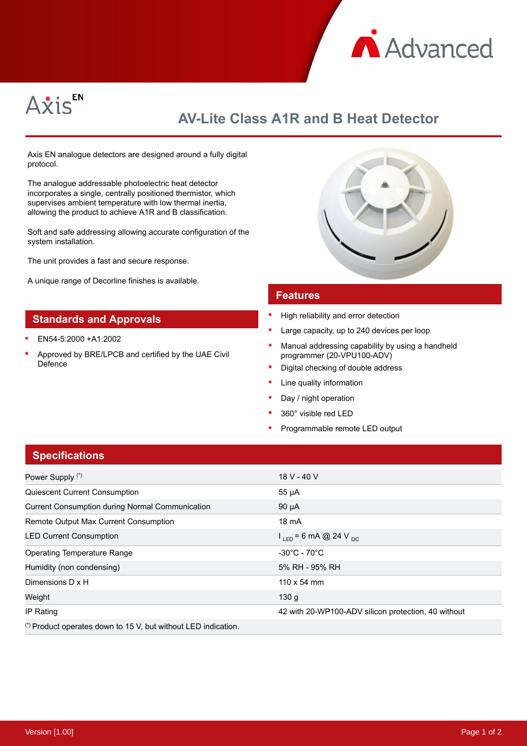



# **AV-Lite Class A1R and B Heat Detector**

Axis EN analogue detectors are designed around a fully digital protocol.

The analogue addressable photoelectric heat detector incorporates a single, centrally positioned thermistor, which supervises ambient temperature with low thermal inertia, allowing the product to achieve A1R and B classification.

Soft and safe addressing allowing accurate configuration of the system installation.

The unit provides a fast and secure response.

A unique range of Decorline finishes is available.

### **Standards and Approvals**

- EN54-5:2000 +A1:2002
- Approved by BRE/LPCB and certified by the UAE Civil Defence



#### **Features**

- High reliability and error detection
- Large capacity, up to 240 devices per loop
- Manual addressing capability by using a handheld programmer (20-VPU100-ADV)
- Digital checking of double address
- Line quality information
- Day / night operation
- 360° visible red LED
- Programmable remote LED output

## **Specifications**

| Power Supply (*)                                               | 18 V - 40 V                                         |
|----------------------------------------------------------------|-----------------------------------------------------|
| <b>Quiescent Current Consumption</b>                           | 55 µA                                               |
| <b>Current Consumption during Normal Communication</b>         | $90 \mu A$                                          |
| Remote Output Max Current Consumption                          | 18 mA                                               |
| <b>LED Current Consumption</b>                                 | $1_{\text{IED}}$ = 6 mA @ 24 V <sub>pc</sub>        |
| <b>Operating Temperature Range</b>                             | $-30^{\circ}$ C - 70 $^{\circ}$ C                   |
| Humidity (non condensing)                                      | 5% RH - 95% RH                                      |
| Dimensions D x H                                               | $110 \times 54$ mm                                  |
| Weight                                                         | 130q                                                |
| IP Rating                                                      | 42 with 20-WP100-ADV silicon protection, 40 without |
| (*) Product operates down to 15 V, but without LED indication. |                                                     |